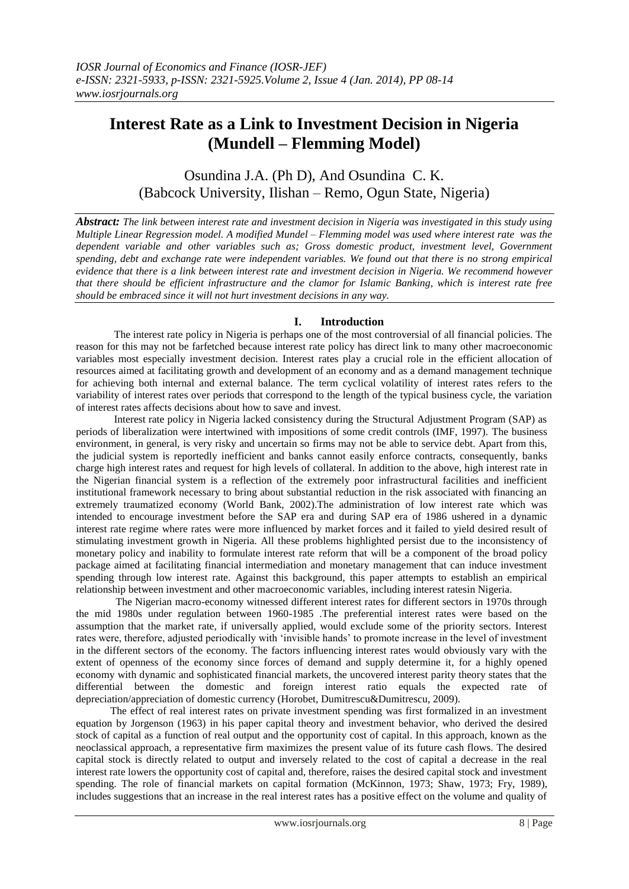# **Interest Rate as a Link to Investment Decision in Nigeria (Mundell – Flemming Model)**

Osundina J.A. (Ph D), And Osundina C. K. (Babcock University, Ilishan – Remo, Ogun State, Nigeria)

*Abstract: The link between interest rate and investment decision in Nigeria was investigated in this study using Multiple Linear Regression model. A modified Mundel – Flemming model was used where interest rate was the*  dependent variable and other variables such as; Gross domestic product, investment level, Government *spending, debt and exchange rate were independent variables. We found out that there is no strong empirical evidence that there is a link between interest rate and investment decision in Nigeria. We recommend however that there should be efficient infrastructure and the clamor for Islamic Banking, which is interest rate free should be embraced since it will not hurt investment decisions in any way.* 

# **I. Introduction**

The interest rate policy in Nigeria is perhaps one of the most controversial of all financial policies. The reason for this may not be farfetched because interest rate policy has direct link to many other macroeconomic variables most especially investment decision. Interest rates play a crucial role in the efficient allocation of resources aimed at facilitating growth and development of an economy and as a demand management technique for achieving both internal and external balance. The term cyclical volatility of interest rates refers to the variability of interest rates over periods that correspond to the length of the typical business cycle, the variation of interest rates affects decisions about how to save and invest.

Interest rate policy in Nigeria lacked consistency during the Structural Adjustment Program (SAP) as periods of liberalization were intertwined with impositions of some credit controls (IMF, 1997). The business environment, in general, is very risky and uncertain so firms may not be able to service debt. Apart from this, the judicial system is reportedly inefficient and banks cannot easily enforce contracts, consequently, banks charge high interest rates and request for high levels of collateral. In addition to the above, high interest rate in the Nigerian financial system is a reflection of the extremely poor infrastructural facilities and inefficient institutional framework necessary to bring about substantial reduction in the risk associated with financing an extremely traumatized economy (World Bank, 2002).The administration of low interest rate which was intended to encourage investment before the SAP era and during SAP era of 1986 ushered in a dynamic interest rate regime where rates were more influenced by market forces and it failed to yield desired result of stimulating investment growth in Nigeria. All these problems highlighted persist due to the inconsistency of monetary policy and inability to formulate interest rate reform that will be a component of the broad policy package aimed at facilitating financial intermediation and monetary management that can induce investment spending through low interest rate. Against this background, this paper attempts to establish an empirical relationship between investment and other macroeconomic variables, including interest ratesin Nigeria.

 The Nigerian macro-economy witnessed different interest rates for different sectors in 1970s through the mid 1980s under regulation between 1960-1985 .The preferential interest rates were based on the assumption that the market rate, if universally applied, would exclude some of the priority sectors. Interest rates were, therefore, adjusted periodically with "invisible hands" to promote increase in the level of investment in the different sectors of the economy. The factors influencing interest rates would obviously vary with the extent of openness of the economy since forces of demand and supply determine it, for a highly opened economy with dynamic and sophisticated financial markets, the uncovered interest parity theory states that the differential between the domestic and foreign interest ratio equals the expected rate of depreciation/appreciation of domestic currency (Horobet, Dumitrescu&Dumitrescu, 2009).

 The effect of real interest rates on private investment spending was first formalized in an investment equation by Jorgenson (1963) in his paper capital theory and investment behavior, who derived the desired stock of capital as a function of real output and the opportunity cost of capital. In this approach, known as the neoclassical approach, a representative firm maximizes the present value of its future cash flows. The desired capital stock is directly related to output and inversely related to the cost of capital a decrease in the real interest rate lowers the opportunity cost of capital and, therefore, raises the desired capital stock and investment spending. The role of financial markets on capital formation (McKinnon, 1973; Shaw, 1973; Fry, 1989), includes suggestions that an increase in the real interest rates has a positive effect on the volume and quality of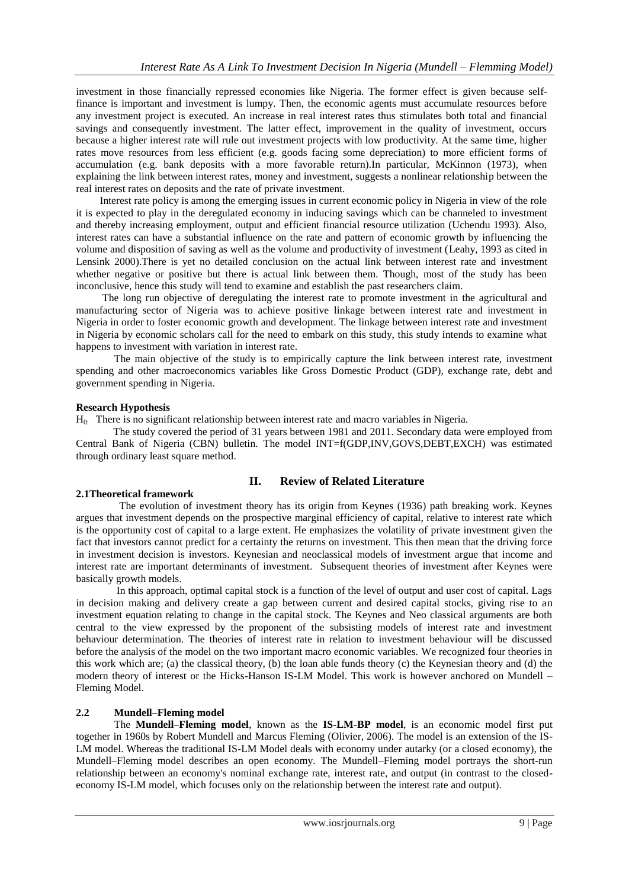investment in those financially repressed economies like Nigeria. The former effect is given because selffinance is important and investment is lumpy. Then, the economic agents must accumulate resources before any investment project is executed. An increase in real interest rates thus stimulates both total and financial savings and consequently investment. The latter effect, improvement in the quality of investment, occurs because a higher interest rate will rule out investment projects with low productivity. At the same time, higher rates move resources from less efficient (e.g. goods facing some depreciation) to more efficient forms of accumulation (e.g. bank deposits with a more favorable return).In particular, McKinnon (1973), when explaining the link between interest rates, money and investment, suggests a nonlinear relationship between the real interest rates on deposits and the rate of private investment.

 Interest rate policy is among the emerging issues in current economic policy in Nigeria in view of the role it is expected to play in the deregulated economy in inducing savings which can be channeled to investment and thereby increasing employment, output and efficient financial resource utilization (Uchendu 1993). Also, interest rates can have a substantial influence on the rate and pattern of economic growth by influencing the volume and disposition of saving as well as the volume and productivity of investment [\(Leahy, 1993](javascript:;) as cited in Lensink 2000).There is yet no detailed conclusion on the actual link between interest rate and investment whether negative or positive but there is actual link between them. Though, most of the study has been inconclusive, hence this study will tend to examine and establish the past researchers claim.

 The long run objective of deregulating the interest rate to promote investment in the agricultural and manufacturing sector of Nigeria was to achieve positive linkage between interest rate and investment in Nigeria in order to foster economic growth and development. The linkage between interest rate and investment in Nigeria by economic scholars call for the need to embark on this study, this study intends to examine what happens to investment with variation in interest rate.

The main objective of the study is to empirically capture the link between interest rate, investment spending and other macroeconomics variables like Gross Domestic Product (GDP), exchange rate, debt and government spending in Nigeria.

#### **Research Hypothesis**

H0: There is no significant relationship between interest rate and macro variables in Nigeria.

The study covered the period of 31 years between 1981 and 2011. Secondary data were employed from Central Bank of Nigeria (CBN) bulletin. The model INT=f(GDP,INV,GOVS,DEBT,EXCH) was estimated through ordinary least square method.

# **II. Review of Related Literature**

#### **2.1Theoretical framework**

 The evolution of investment theory has its origin from Keynes (1936) path breaking work. Keynes argues that investment depends on the prospective marginal efficiency of capital, relative to interest rate which is the opportunity cost of capital to a large extent. He emphasizes the volatility of private investment given the fact that investors cannot predict for a certainty the returns on investment. This then mean that the driving force in investment decision is investors. Keynesian and neoclassical models of investment argue that income and interest rate are important determinants of investment. Subsequent theories of investment after Keynes were basically growth models.

In this approach, optimal capital stock is a function of the level of output and user cost of capital. Lags in decision making and delivery create a gap between current and desired capital stocks, giving rise to an investment equation relating to change in the capital stock. The Keynes and Neo classical arguments are both central to the view expressed by the proponent of the subsisting models of interest rate and investment behaviour determination. The theories of interest rate in relation to investment behaviour will be discussed before the analysis of the model on the two important macro economic variables. We recognized four theories in this work which are; (a) the classical theory, (b) the loan able funds theory (c) the Keynesian theory and (d) the modern theory of interest or the Hicks-Hanson IS-LM Model. This work is however anchored on Mundell – Fleming Model.

## **2.2 Mundell–Fleming model**

The **Mundell–Fleming model**, known as the **IS-LM-BP model**, is an [economic](http://en.wikipedia.org/wiki/Economics) model first put together in 1960s by [Robert Mundell](http://en.wikipedia.org/wiki/Robert_Mundell) and [Marcus Fleming](http://en.wikipedia.org/wiki/Marcus_Fleming) (Olivier, 2006). The model is an extension of the [IS-](http://en.wikipedia.org/wiki/IS-LM_model)[LM model.](http://en.wikipedia.org/wiki/IS-LM_model) Whereas the traditional IS-LM Model deals with economy under [autarky](http://en.wikipedia.org/wiki/Autarky) (or a closed economy), the Mundell–Fleming model describes an open economy. The Mundell–Fleming model portrays the short-run relationship between an economy's nominal exchange rate, interest rate, and output (in contrast to the closedeconomy IS-LM model, which focuses only on the relationship between the interest rate and output).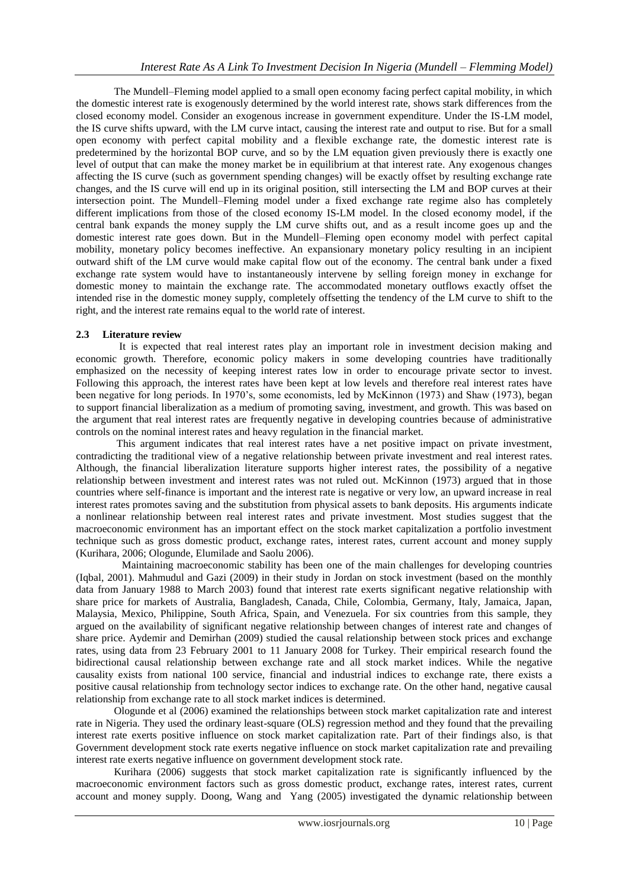The Mundell–Fleming model applied to a small open economy facing perfect capital mobility, in which the domestic interest rate is exogenously determined by the world interest rate, shows stark differences from the closed economy model. Consider an exogenous increase in government expenditure. Under the IS-LM model, the IS curve shifts upward, with the LM curve intact, causing the interest rate and output to rise. But for a small open economy with perfect capital mobility and a flexible exchange rate, the domestic interest rate is predetermined by the horizontal BOP curve, and so by the LM equation given previously there is exactly one level of output that can make the money market be in equilibrium at that interest rate. Any exogenous changes affecting the IS curve (such as government spending changes) will be exactly offset by resulting exchange rate changes, and the IS curve will end up in its original position, still intersecting the LM and BOP curves at their intersection point. The Mundell–Fleming model under a fixed exchange rate regime also has completely different implications from those of the closed economy IS-LM model. In the closed economy model, if the central bank expands the money supply the LM curve shifts out, and as a result income goes up and the domestic interest rate goes down. But in the Mundell–Fleming open economy model with perfect capital mobility, monetary policy becomes ineffective. An expansionary monetary policy resulting in an incipient outward shift of the LM curve would make capital flow out of the economy. The central bank under a fixed exchange rate system would have to instantaneously intervene by selling foreign money in exchange for domestic money to maintain the exchange rate. The accommodated monetary outflows exactly offset the intended rise in the domestic money supply, completely offsetting the tendency of the LM curve to shift to the right, and the interest rate remains equal to the world rate of interest.

## **2.3 Literature review**

 It is expected that real interest rates play an important role in investment decision making and economic growth. Therefore, economic policy makers in some developing countries have traditionally emphasized on the necessity of keeping interest rates low in order to encourage private sector to invest. Following this approach, the interest rates have been kept at low levels and therefore real interest rates have been negative for long periods. In 1970"s, some economists, led by McKinnon (1973) and Shaw (1973), began to support financial liberalization as a medium of promoting saving, investment, and growth. This was based on the argument that real interest rates are frequently negative in developing countries because of administrative controls on the nominal interest rates and heavy regulation in the financial market.

This argument indicates that real interest rates have a net positive impact on private investment, contradicting the traditional view of a negative relationship between private investment and real interest rates. Although, the financial liberalization literature supports higher interest rates, the possibility of a negative relationship between investment and interest rates was not ruled out. McKinnon (1973) argued that in those countries where self-finance is important and the interest rate is negative or very low, an upward increase in real interest rates promotes saving and the substitution from physical assets to bank deposits. His arguments indicate a nonlinear relationship between real interest rates and private investment. Most studies suggest that the macroeconomic environment has an important effect on the stock market capitalization a portfolio investment technique such as gross domestic product, exchange rates, interest rates, current account and money supply (Kurihara, 2006; Ologunde, Elumilade and Saolu 2006).

 Maintaining macroeconomic stability has been one of the main challenges for developing countries (Iqbal, 2001). Mahmudul and Gazi (2009) in their study in Jordan on stock investment (based on the monthly data from January 1988 to March 2003) found that interest rate exerts significant negative relationship with share price for markets of Australia, Bangladesh, Canada, Chile, Colombia, Germany, Italy, Jamaica, Japan, Malaysia, Mexico, Philippine, South Africa, Spain, and Venezuela. For six countries from this sample, they argued on the availability of significant negative relationship between changes of interest rate and changes of share price. Aydemir and Demirhan (2009) studied the causal relationship between stock prices and exchange rates, using data from 23 February 2001 to 11 January 2008 for Turkey. Their empirical research found the bidirectional causal relationship between exchange rate and all stock market indices. While the negative causality exists from national 100 service, financial and industrial indices to exchange rate, there exists a positive causal relationship from technology sector indices to exchange rate. On the other hand, negative causal relationship from exchange rate to all stock market indices is determined.

Ologunde et al (2006) examined the relationships between stock market capitalization rate and interest rate in Nigeria. They used the ordinary least-square (OLS) regression method and they found that the prevailing interest rate exerts positive influence on stock market capitalization rate. Part of their findings also, is that Government development stock rate exerts negative influence on stock market capitalization rate and prevailing interest rate exerts negative influence on government development stock rate.

Kurihara (2006) suggests that stock market capitalization rate is significantly influenced by the macroeconomic environment factors such as gross domestic product, exchange rates, interest rates, current account and money supply. Doong, Wang and Yang (2005) investigated the dynamic relationship between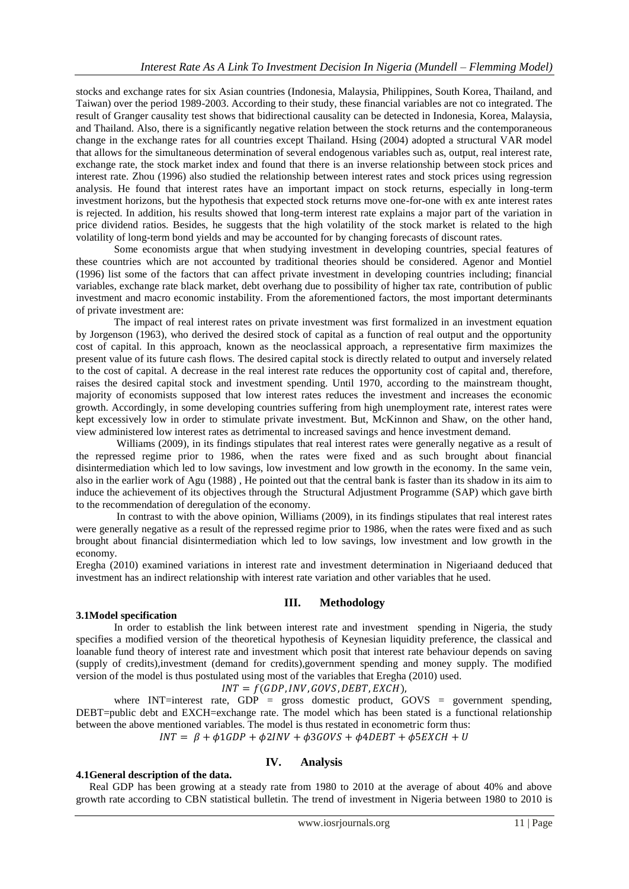stocks and exchange rates for six Asian countries (Indonesia, Malaysia, Philippines, South Korea, Thailand, and Taiwan) over the period 1989-2003. According to their study, these financial variables are not co integrated. The result of Granger causality test shows that bidirectional causality can be detected in Indonesia, Korea, Malaysia, and Thailand. Also, there is a significantly negative relation between the stock returns and the contemporaneous change in the exchange rates for all countries except Thailand. Hsing (2004) adopted a structural VAR model that allows for the simultaneous determination of several endogenous variables such as, output, real interest rate, exchange rate, the stock market index and found that there is an inverse relationship between stock prices and interest rate. Zhou (1996) also studied the relationship between interest rates and stock prices using regression analysis. He found that interest rates have an important impact on stock returns, especially in long-term investment horizons, but the hypothesis that expected stock returns move one-for-one with ex ante interest rates is rejected. In addition, his results showed that long-term interest rate explains a major part of the variation in price dividend ratios. Besides, he suggests that the high volatility of the stock market is related to the high volatility of long-term bond yields and may be accounted for by changing forecasts of discount rates.

Some economists argue that when studying investment in developing countries, special features of these countries which are not accounted by traditional theories should be considered. Agenor and Montiel (1996) list some of the factors that can affect private investment in developing countries including; financial variables, exchange rate black market, debt overhang due to possibility of higher tax rate, contribution of public investment and macro economic instability. From the aforementioned factors, the most important determinants of private investment are:

The impact of real interest rates on private investment was first formalized in an investment equation by Jorgenson (1963), who derived the desired stock of capital as a function of real output and the opportunity cost of capital. In this approach, known as the neoclassical approach, a representative firm maximizes the present value of its future cash flows. The desired capital stock is directly related to output and inversely related to the cost of capital. A decrease in the real interest rate reduces the opportunity cost of capital and, therefore, raises the desired capital stock and investment spending. Until 1970, according to the mainstream thought, majority of economists supposed that low interest rates reduces the investment and increases the economic growth. Accordingly, in some developing countries suffering from high unemployment rate, interest rates were kept excessively low in order to stimulate private investment. But, McKinnon and Shaw, on the other hand, view administered low interest rates as detrimental to increased savings and hence investment demand.

Williams (2009), in its findings stipulates that real interest rates were generally negative as a result of the repressed regime prior to 1986, when the rates were fixed and as such brought about financial disintermediation which led to low savings, low investment and low growth in the economy. In the same vein, also in the earlier work of Agu (1988) , He pointed out that the central bank is faster than its shadow in its aim to induce the achievement of its objectives through the Structural Adjustment Programme (SAP) which gave birth to the recommendation of deregulation of the economy.

In contrast to with the above opinion, Williams (2009), in its findings stipulates that real interest rates were generally negative as a result of the repressed regime prior to 1986, when the rates were fixed and as such brought about financial disintermediation which led to low savings, low investment and low growth in the economy.

Eregha (2010) examined variations in interest rate and investment determination in Nigeriaand deduced that investment has an indirect relationship with interest rate variation and other variables that he used.

## **III. Methodology**

#### **3.1Model specification**

In order to establish the link between interest rate and investment spending in Nigeria, the study specifies a modified version of the theoretical hypothesis of Keynesian liquidity preference, the classical and loanable fund theory of interest rate and investment which posit that interest rate behaviour depends on saving (supply of credits),investment (demand for credits),government spending and money supply. The modified version of the model is thus postulated using most of the variables that Eregha (2010) used.

 $INT = f(GDP, INV, GOVS, DEBT, EXCH),$ 

where INT=interest rate, GDP = gross domestic product, GOVS = government spending, DEBT=public debt and EXCH=exchange rate. The model which has been stated is a functional relationship between the above mentioned variables. The model is thus restated in econometric form thus:

 $INT = \beta + \phi 1GDP + \phi 2INV + \phi 3GOVS + \phi 4DEBT + \phi 5EXCH + U$ 

**IV. Analysis**

#### **4.1General description of the data.**

 Real GDP has been growing at a steady rate from 1980 to 2010 at the average of about 40% and above growth rate according to CBN statistical bulletin. The trend of investment in Nigeria between 1980 to 2010 is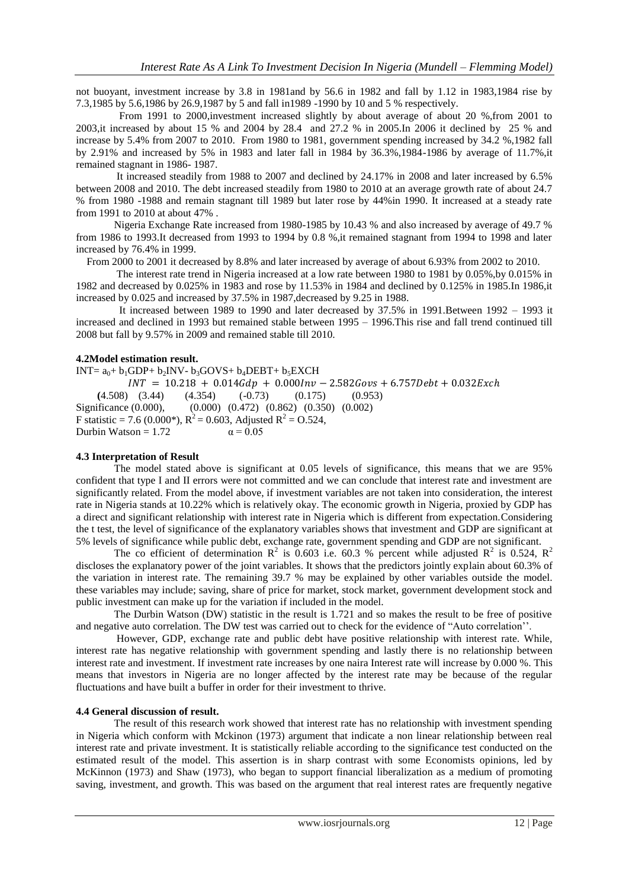not buoyant, investment increase by 3.8 in 1981and by 56.6 in 1982 and fall by 1.12 in 1983,1984 rise by 7.3,1985 by 5.6,1986 by 26.9,1987 by 5 and fall in1989 -1990 by 10 and 5 % respectively.

 From 1991 to 2000,investment increased slightly by about average of about 20 %,from 2001 to 2003,it increased by about 15 % and 2004 by 28.4 and 27.2 % in 2005.In 2006 it declined by 25 % and increase by 5.4% from 2007 to 2010. From 1980 to 1981, government spending increased by 34.2 %,1982 fall by 2.91% and increased by 5% in 1983 and later fall in 1984 by 36.3%,1984-1986 by average of 11.7%,it remained stagnant in 1986- 1987.

It increased steadily from 1988 to 2007 and declined by 24.17% in 2008 and later increased by 6.5% between 2008 and 2010. The debt increased steadily from 1980 to 2010 at an average growth rate of about 24.7 % from 1980 -1988 and remain stagnant till 1989 but later rose by 44%in 1990. It increased at a steady rate from 1991 to 2010 at about 47% .

Nigeria Exchange Rate increased from 1980-1985 by 10.43 % and also increased by average of 49.7 % from 1986 to 1993.It decreased from 1993 to 1994 by 0.8 %,it remained stagnant from 1994 to 1998 and later increased by 76.4% in 1999.

From 2000 to 2001 it decreased by 8.8% and later increased by average of about 6.93% from 2002 to 2010.

The interest rate trend in Nigeria increased at a low rate between 1980 to 1981 by 0.05%,by 0.015% in 1982 and decreased by 0.025% in 1983 and rose by 11.53% in 1984 and declined by 0.125% in 1985.In 1986,it increased by 0.025 and increased by 37.5% in 1987,decreased by 9.25 in 1988.

 It increased between 1989 to 1990 and later decreased by 37.5% in 1991.Between 1992 – 1993 it increased and declined in 1993 but remained stable between 1995 – 1996.This rise and fall trend continued till 2008 but fall by 9.57% in 2009 and remained stable till 2010.

#### **4.2Model estimation result.**

INT=  $a_0$ +  $b_1$ GDP+  $b_2$ INV-  $b_3$ GOVS+  $b_4$ DEBT+  $b_5$ EXCH  $INT = 10.218 + 0.014Gdp + 0.000Inv - 2.582Govs + 6.757Debt + 0.032Exch$  **(**4.508) (3.44) (4.354) (-0.73) (0.175) (0.953) Significance (0.000), (0.000) (0.472) (0.862) (0.350) (0.002) F statistic = 7.6 (0.000\*),  $R^2 = 0.603$ , Adjusted  $R^2 = 0.524$ , Durbin Watson =  $1.72$   $\alpha = 0.05$ 

### **4.3 Interpretation of Result**

The model stated above is significant at 0.05 levels of significance, this means that we are 95% confident that type I and II errors were not committed and we can conclude that interest rate and investment are significantly related. From the model above, if investment variables are not taken into consideration, the interest rate in Nigeria stands at 10.22% which is relatively okay. The economic growth in Nigeria, proxied by GDP has a direct and significant relationship with interest rate in Nigeria which is different from expectation.Considering the t test, the level of significance of the explanatory variables shows that investment and GDP are significant at 5% levels of significance while public debt, exchange rate, government spending and GDP are not significant.

The co efficient of determination  $R^2$  is 0.603 i.e. 60.3 % percent while adjusted  $R^2$  is 0.524,  $R^2$ discloses the explanatory power of the joint variables. It shows that the predictors jointly explain about 60.3% of the variation in interest rate. The remaining 39.7 % may be explained by other variables outside the model. these variables may include; saving, share of price for market, stock market, government development stock and public investment can make up for the variation if included in the model.

The Durbin Watson (DW) statistic in the result is 1.721 and so makes the result to be free of positive and negative auto correlation. The DW test was carried out to check for the evidence of "Auto correlation"".

However, GDP, exchange rate and public debt have positive relationship with interest rate. While, interest rate has negative relationship with government spending and lastly there is no relationship between interest rate and investment. If investment rate increases by one naira Interest rate will increase by 0.000 %. This means that investors in Nigeria are no longer affected by the interest rate may be because of the regular fluctuations and have built a buffer in order for their investment to thrive.

### **4.4 General discussion of result.**

The result of this research work showed that interest rate has no relationship with investment spending in Nigeria which conform with Mckinon (1973) argument that indicate a non linear relationship between real interest rate and private investment. It is statistically reliable according to the significance test conducted on the estimated result of the model. This assertion is in sharp contrast with some Economists opinions, led by McKinnon (1973) and Shaw (1973), who began to support financial liberalization as a medium of promoting saving, investment, and growth. This was based on the argument that real interest rates are frequently negative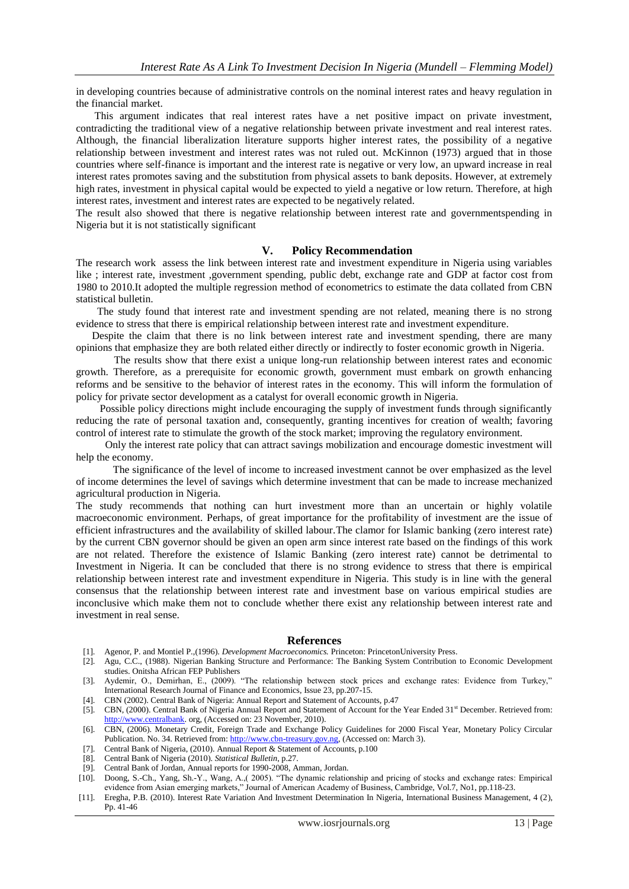in developing countries because of administrative controls on the nominal interest rates and heavy regulation in the financial market.

 This argument indicates that real interest rates have a net positive impact on private investment, contradicting the traditional view of a negative relationship between private investment and real interest rates. Although, the financial liberalization literature supports higher interest rates, the possibility of a negative relationship between investment and interest rates was not ruled out. McKinnon (1973) argued that in those countries where self-finance is important and the interest rate is negative or very low, an upward increase in real interest rates promotes saving and the substitution from physical assets to bank deposits. However, at extremely high rates, investment in physical capital would be expected to yield a negative or low return. Therefore, at high interest rates, investment and interest rates are expected to be negatively related.

The result also showed that there is negative relationship between interest rate and governmentspending in Nigeria but it is not statistically significant

#### **V. Policy Recommendation**

The research work assess the link between interest rate and investment expenditure in Nigeria using variables like ; interest rate, investment ,government spending, public debt, exchange rate and GDP at factor cost from 1980 to 2010.It adopted the multiple regression method of econometrics to estimate the data collated from CBN statistical bulletin.

 The study found that interest rate and investment spending are not related, meaning there is no strong evidence to stress that there is empirical relationship between interest rate and investment expenditure.

 Despite the claim that there is no link between interest rate and investment spending, there are many opinions that emphasize they are both related either directly or indirectly to foster economic growth in Nigeria.

The results show that there exist a unique long-run relationship between interest rates and economic growth. Therefore, as a prerequisite for economic growth, government must embark on growth enhancing reforms and be sensitive to the behavior of interest rates in the economy. This will inform the formulation of policy for private sector development as a catalyst for overall economic growth in Nigeria.

 Possible policy directions might include encouraging the supply of investment funds through significantly reducing the rate of personal taxation and, consequently, granting incentives for creation of wealth; favoring control of interest rate to stimulate the growth of the stock market; improving the regulatory environment.

 Only the interest rate policy that can attract savings mobilization and encourage domestic investment will help the economy.

 The significance of the level of income to increased investment cannot be over emphasized as the level of income determines the level of savings which determine investment that can be made to increase mechanized agricultural production in Nigeria.

The study recommends that nothing can hurt investment more than an uncertain or highly volatile macroeconomic environment. Perhaps, of great importance for the profitability of investment are the issue of efficient infrastructures and the availability of skilled labour.The clamor for Islamic banking (zero interest rate) by the current CBN governor should be given an open arm since interest rate based on the findings of this work are not related. Therefore the existence of Islamic Banking (zero interest rate) cannot be detrimental to Investment in Nigeria. It can be concluded that there is no strong evidence to stress that there is empirical relationship between interest rate and investment expenditure in Nigeria. This study is in line with the general consensus that the relationship between interest rate and investment base on various empirical studies are inconclusive which make them not to conclude whether there exist any relationship between interest rate and investment in real sense.

#### **References**

- [1]. Agenor, P. and Montiel P.,(1996). *Development Macroeconomics.* Princeton: PrincetonUniversity Press.
- [2]. Agu, C.C., (1988). Nigerian Banking Structure and Performance: The Banking System Contribution to Economic Development studies. Onitsha African FEP Publishers

[3]. Aydemir, O., Demirhan, E., (2009). "The relationship between stock prices and exchange rates: Evidence from Turkey," International Research Journal of Finance and Economics, Issue 23, pp.207-15.

[4]. CBN (2002). Central Bank of Nigeria: Annual Report and Statement of Accounts, p.47

- [5]. CBN, (2000). Central Bank of Nigeria Annual Report and Statement of Account for the Year Ended 31st December. Retrieved from: [http://www.centralbank.](http://www.centralbank/) org, (Accessed on: 23 November, 2010).
- [6]. CBN, (2006). Monetary Credit, Foreign Trade and Exchange Policy Guidelines for 2000 Fiscal Year, Monetary Policy Circular Publication. No. 34. Retrieved from[: http://www.cbn-treasury.gov.ng,](http://www.cbn-treasury.gov.ng/) (Accessed on: March 3).
- [7]. Central Bank of Nigeria, (2010). Annual Report & Statement of Accounts, p.100
- [8]. Central Bank of Nigeria (2010). *Statistical Bulletin*, p.27.
- [9]. Central Bank of Jordan, Annual reports for 1990-2008, Amman, Jordan.
- [10]. Doong, S.-Ch., Yang, Sh.-Y., Wang, A.,( 2005). "The dynamic relationship and pricing of stocks and exchange rates: Empirical evidence from Asian emerging markets," Journal of American Academy of Business, Cambridge, Vol.7, No1, pp.118-23.
- [11]. Eregha, P.B. (2010). Interest Rate Variation And Investment Determination In Nigeria, International Business Management, 4 (2), Pp. 41-46